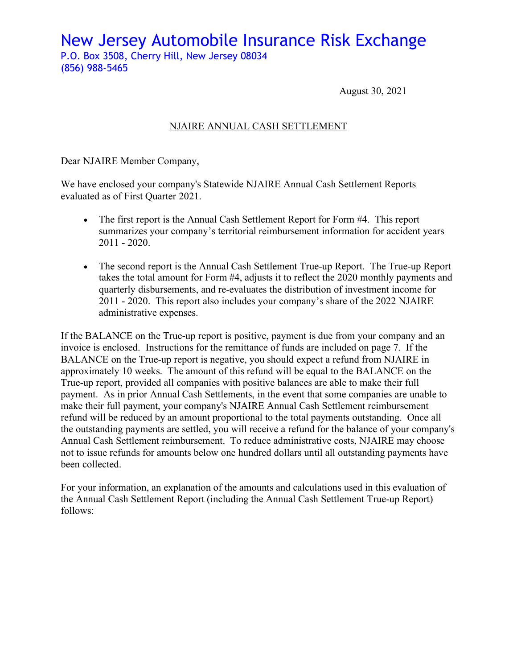New Jersey Automobile Insurance Risk Exchange P.O. Box 3508, Cherry Hill, New Jersey 08034 (856) 988-5465

August 30, 2021

## NJAIRE ANNUAL CASH SETTLEMENT

Dear NJAIRE Member Company,

We have enclosed your company's Statewide NJAIRE Annual Cash Settlement Reports evaluated as of First Quarter 2021.

- The first report is the Annual Cash Settlement Report for Form #4. This report summarizes your company's territorial reimbursement information for accident years 2011 - 2020.
- The second report is the Annual Cash Settlement True-up Report. The True-up Report takes the total amount for Form #4, adjusts it to reflect the 2020 monthly payments and quarterly disbursements, and re-evaluates the distribution of investment income for 2011 - 2020. This report also includes your company's share of the 2022 NJAIRE administrative expenses.

If the BALANCE on the True-up report is positive, payment is due from your company and an invoice is enclosed. Instructions for the remittance of funds are included on page 7. If the BALANCE on the True-up report is negative, you should expect a refund from NJAIRE in approximately 10 weeks. The amount of this refund will be equal to the BALANCE on the True-up report, provided all companies with positive balances are able to make their full payment. As in prior Annual Cash Settlements, in the event that some companies are unable to make their full payment, your company's NJAIRE Annual Cash Settlement reimbursement refund will be reduced by an amount proportional to the total payments outstanding. Once all the outstanding payments are settled, you will receive a refund for the balance of your company's Annual Cash Settlement reimbursement. To reduce administrative costs, NJAIRE may choose not to issue refunds for amounts below one hundred dollars until all outstanding payments have been collected.

For your information, an explanation of the amounts and calculations used in this evaluation of the Annual Cash Settlement Report (including the Annual Cash Settlement True-up Report) follows: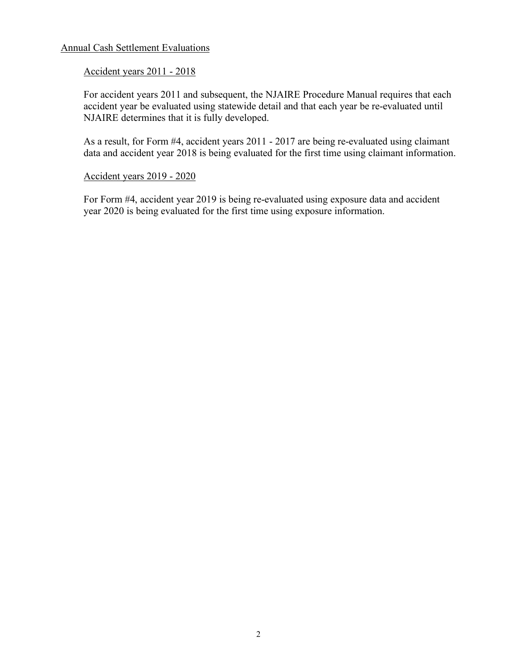#### Annual Cash Settlement Evaluations

#### Accident years 2011 - 2018

For accident years 2011 and subsequent, the NJAIRE Procedure Manual requires that each accident year be evaluated using statewide detail and that each year be re-evaluated until NJAIRE determines that it is fully developed.

As a result, for Form #4, accident years 2011 - 2017 are being re-evaluated using claimant data and accident year 2018 is being evaluated for the first time using claimant information.

#### Accident years 2019 - 2020

For Form #4, accident year 2019 is being re-evaluated using exposure data and accident year 2020 is being evaluated for the first time using exposure information.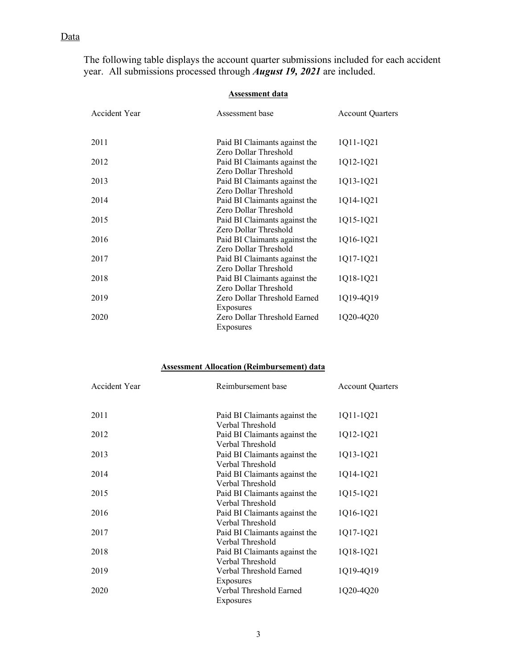## Data

The following table displays the account quarter submissions included for each accident year. All submissions processed through *August 19, 2021* are included.

#### **Assessment data**

| Accident Year | Assessment base                                        | <b>Account Quarters</b> |
|---------------|--------------------------------------------------------|-------------------------|
| 2011          | Paid BI Claimants against the<br>Zero Dollar Threshold | 1Q11-1Q21               |
| 2012          | Paid BI Claimants against the<br>Zero Dollar Threshold | 1Q12-1Q21               |
| 2013          | Paid BI Claimants against the<br>Zero Dollar Threshold | 1Q13-1Q21               |
| 2014          | Paid BI Claimants against the<br>Zero Dollar Threshold | 1Q14-1Q21               |
| 2015          | Paid BI Claimants against the<br>Zero Dollar Threshold | 1Q15-1Q21               |
| 2016          | Paid BI Claimants against the<br>Zero Dollar Threshold | 1Q16-1Q21               |
| 2017          | Paid BI Claimants against the<br>Zero Dollar Threshold | 1Q17-1Q21               |
| 2018          | Paid BI Claimants against the<br>Zero Dollar Threshold | 1Q18-1Q21               |
| 2019          | Zero Dollar Threshold Earned<br>Exposures              | 1Q19-4Q19               |
| 2020          | Zero Dollar Threshold Earned<br>Exposures              | 1Q20-4Q20               |
|               |                                                        |                         |

#### **Assessment Allocation (Reimbursement) data**

| Accident Year | Reimbursement base                                | <b>Account Quarters</b> |
|---------------|---------------------------------------------------|-------------------------|
| 2011          | Paid BI Claimants against the<br>Verbal Threshold | 1Q11-1Q21               |
| 2012          | Paid BI Claimants against the<br>Verbal Threshold | 1Q12-1Q21               |
| 2013          | Paid BI Claimants against the<br>Verbal Threshold | 1Q13-1Q21               |
| 2014          | Paid BI Claimants against the<br>Verbal Threshold | 1Q14-1Q21               |
| 2015          | Paid BI Claimants against the<br>Verbal Threshold | 1Q15-1Q21               |
| 2016          | Paid BI Claimants against the<br>Verbal Threshold | 1Q16-1Q21               |
| 2017          | Paid BI Claimants against the<br>Verbal Threshold | 1Q17-1Q21               |
| 2018          | Paid BI Claimants against the<br>Verbal Threshold | 1Q18-1Q21               |
| 2019          | Verbal Threshold Earned<br>Exposures              | 1Q19-4Q19               |
| 2020          | Verbal Threshold Earned<br>Exposures              | 1020-4020               |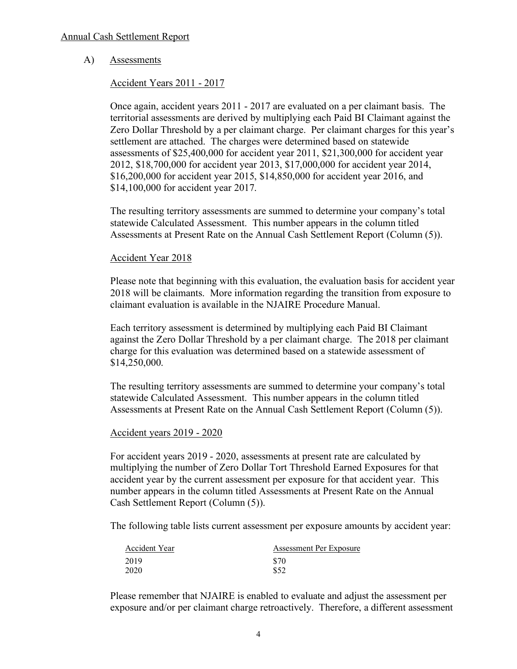#### Annual Cash Settlement Report

#### A) Assessments

#### Accident Years 2011 - 2017

Once again, accident years 2011 - 2017 are evaluated on a per claimant basis. The territorial assessments are derived by multiplying each Paid BI Claimant against the Zero Dollar Threshold by a per claimant charge. Per claimant charges for this year's settlement are attached. The charges were determined based on statewide assessments of \$25,400,000 for accident year 2011, \$21,300,000 for accident year 2012, \$18,700,000 for accident year 2013, \$17,000,000 for accident year 2014, \$16,200,000 for accident year 2015, \$14,850,000 for accident year 2016, and \$14,100,000 for accident year 2017.

The resulting territory assessments are summed to determine your company's total statewide Calculated Assessment. This number appears in the column titled Assessments at Present Rate on the Annual Cash Settlement Report (Column (5)).

#### Accident Year 2018

Please note that beginning with this evaluation, the evaluation basis for accident year 2018 will be claimants. More information regarding the transition from exposure to claimant evaluation is available in the NJAIRE Procedure Manual.

Each territory assessment is determined by multiplying each Paid BI Claimant against the Zero Dollar Threshold by a per claimant charge. The 2018 per claimant charge for this evaluation was determined based on a statewide assessment of \$14,250,000.

The resulting territory assessments are summed to determine your company's total statewide Calculated Assessment. This number appears in the column titled Assessments at Present Rate on the Annual Cash Settlement Report (Column (5)).

#### Accident years 2019 - 2020

For accident years 2019 - 2020, assessments at present rate are calculated by multiplying the number of Zero Dollar Tort Threshold Earned Exposures for that accident year by the current assessment per exposure for that accident year. This number appears in the column titled Assessments at Present Rate on the Annual Cash Settlement Report (Column (5)).

The following table lists current assessment per exposure amounts by accident year:

| Accident Year | Assessment Per Exposure |  |
|---------------|-------------------------|--|
| 2019          | \$70                    |  |
| 2020          | \$52                    |  |

Please remember that NJAIRE is enabled to evaluate and adjust the assessment per exposure and/or per claimant charge retroactively. Therefore, a different assessment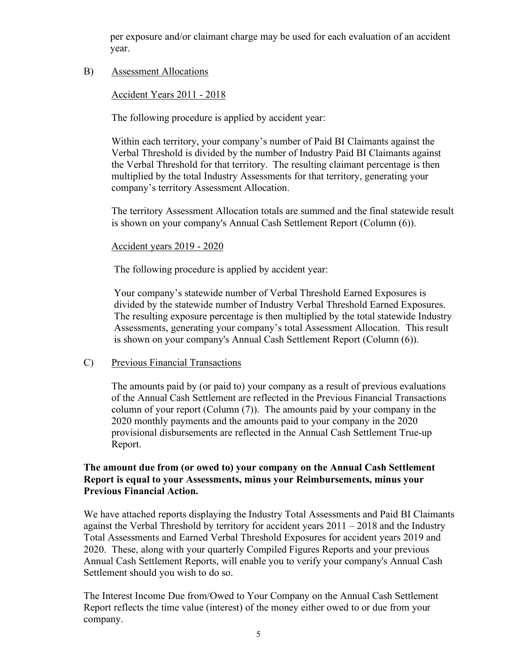per exposure and/or claimant charge may be used for each evaluation of an accident year.

#### B) Assessment Allocations

#### Accident Years 2011 - 2018

The following procedure is applied by accident year:

Within each territory, your company's number of Paid BI Claimants against the Verbal Threshold is divided by the number of Industry Paid BI Claimants against the Verbal Threshold for that territory. The resulting claimant percentage is then multiplied by the total Industry Assessments for that territory, generating your company's territory Assessment Allocation.

The territory Assessment Allocation totals are summed and the final statewide result is shown on your company's Annual Cash Settlement Report (Column (6)).

#### Accident years 2019 - 2020

The following procedure is applied by accident year:

Your company's statewide number of Verbal Threshold Earned Exposures is divided by the statewide number of Industry Verbal Threshold Earned Exposures. The resulting exposure percentage is then multiplied by the total statewide Industry Assessments, generating your company's total Assessment Allocation. This result is shown on your company's Annual Cash Settlement Report (Column (6)).

#### C) Previous Financial Transactions

The amounts paid by (or paid to) your company as a result of previous evaluations of the Annual Cash Settlement are reflected in the Previous Financial Transactions column of your report (Column (7)). The amounts paid by your company in the 2020 monthly payments and the amounts paid to your company in the 2020 provisional disbursements are reflected in the Annual Cash Settlement True-up Report.

### **The amount due from (or owed to) your company on the Annual Cash Settlement Report is equal to your Assessments, minus your Reimbursements, minus your Previous Financial Action.**

We have attached reports displaying the Industry Total Assessments and Paid BI Claimants against the Verbal Threshold by territory for accident years 2011 – 2018 and the Industry Total Assessments and Earned Verbal Threshold Exposures for accident years 2019 and 2020. These, along with your quarterly Compiled Figures Reports and your previous Annual Cash Settlement Reports, will enable you to verify your company's Annual Cash Settlement should you wish to do so.

The Interest Income Due from/Owed to Your Company on the Annual Cash Settlement Report reflects the time value (interest) of the money either owed to or due from your company.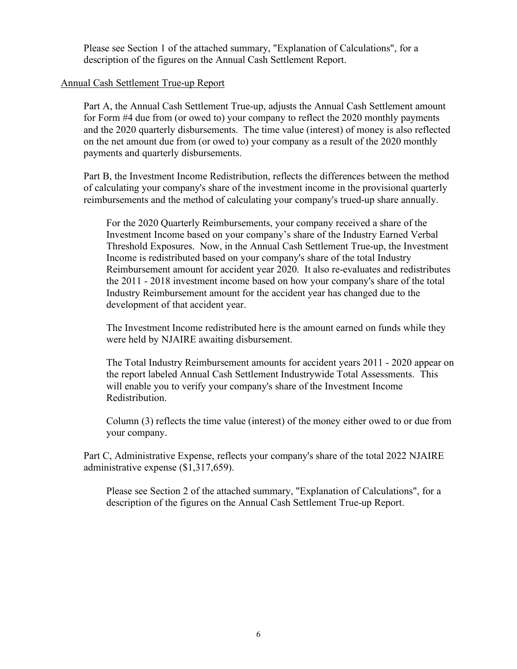Please see Section 1 of the attached summary, "Explanation of Calculations", for a description of the figures on the Annual Cash Settlement Report.

#### Annual Cash Settlement True-up Report

Part A, the Annual Cash Settlement True-up, adjusts the Annual Cash Settlement amount for Form #4 due from (or owed to) your company to reflect the 2020 monthly payments and the 2020 quarterly disbursements. The time value (interest) of money is also reflected on the net amount due from (or owed to) your company as a result of the 2020 monthly payments and quarterly disbursements.

Part B, the Investment Income Redistribution, reflects the differences between the method of calculating your company's share of the investment income in the provisional quarterly reimbursements and the method of calculating your company's trued-up share annually.

For the 2020 Quarterly Reimbursements, your company received a share of the Investment Income based on your company's share of the Industry Earned Verbal Threshold Exposures. Now, in the Annual Cash Settlement True-up, the Investment Income is redistributed based on your company's share of the total Industry Reimbursement amount for accident year 2020. It also re-evaluates and redistributes the 2011 - 2018 investment income based on how your company's share of the total Industry Reimbursement amount for the accident year has changed due to the development of that accident year.

The Investment Income redistributed here is the amount earned on funds while they were held by NJAIRE awaiting disbursement.

The Total Industry Reimbursement amounts for accident years 2011 - 2020 appear on the report labeled Annual Cash Settlement Industrywide Total Assessments. This will enable you to verify your company's share of the Investment Income Redistribution.

Column (3) reflects the time value (interest) of the money either owed to or due from your company.

Part C, Administrative Expense, reflects your company's share of the total 2022 NJAIRE administrative expense (\$1,317,659).

Please see Section 2 of the attached summary, "Explanation of Calculations", for a description of the figures on the Annual Cash Settlement True-up Report.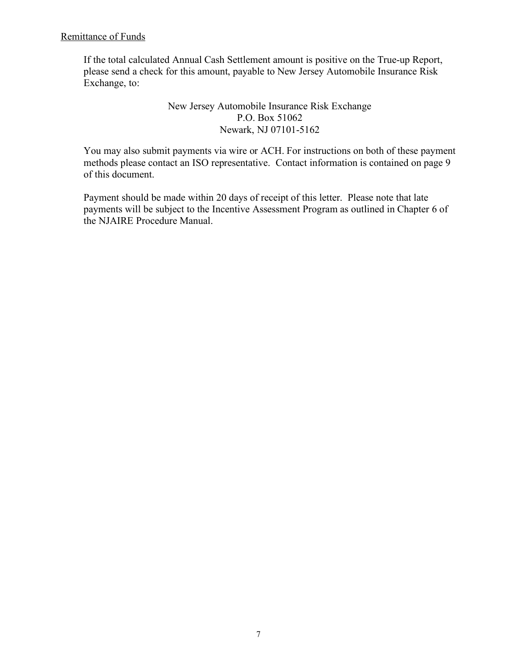Remittance of Funds

If the total calculated Annual Cash Settlement amount is positive on the True-up Report, please send a check for this amount, payable to New Jersey Automobile Insurance Risk Exchange, to:

> New Jersey Automobile Insurance Risk Exchange P.O. Box 51062 Newark, NJ 07101-5162

You may also submit payments via wire or ACH. For instructions on both of these payment methods please contact an ISO representative. Contact information is contained on page 9 of this document.

Payment should be made within 20 days of receipt of this letter. Please note that late payments will be subject to the Incentive Assessment Program as outlined in Chapter 6 of the NJAIRE Procedure Manual.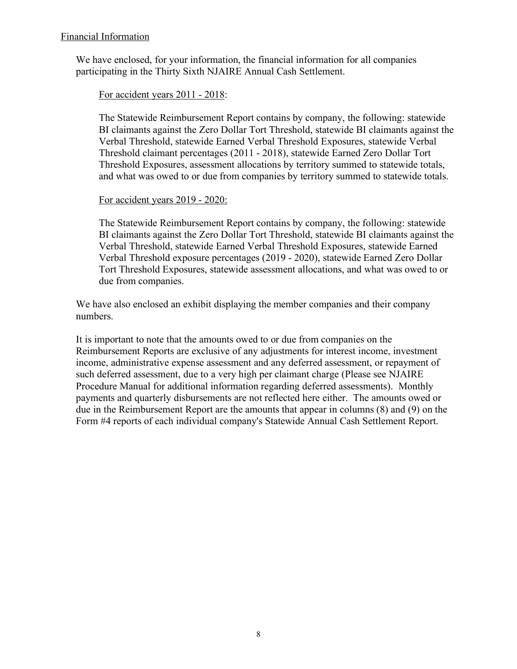## Financial Information

We have enclosed, for your information, the financial information for all companies participating in the Thirty Sixth NJAIRE Annual Cash Settlement.

## For accident years 2011 - 2018:

The Statewide Reimbursement Report contains by company, the following: statewide BI claimants against the Zero Dollar Tort Threshold, statewide BI claimants against the Verbal Threshold, statewide Earned Verbal Threshold Exposures, statewide Verbal Threshold claimant percentages (2011 - 2018), statewide Earned Zero Dollar Tort Threshold Exposures, assessment allocations by territory summed to statewide totals, and what was owed to or due from companies by territory summed to statewide totals.

#### For accident years 2019 - 2020:

The Statewide Reimbursement Report contains by company, the following: statewide BI claimants against the Zero Dollar Tort Threshold, statewide BI claimants against the Verbal Threshold, statewide Earned Verbal Threshold Exposures, statewide Earned Verbal Threshold exposure percentages (2019 - 2020), statewide Earned Zero Dollar Tort Threshold Exposures, statewide assessment allocations, and what was owed to or due from companies.

We have also enclosed an exhibit displaying the member companies and their company numbers.

It is important to note that the amounts owed to or due from companies on the Reimbursement Reports are exclusive of any adjustments for interest income, investment income, administrative expense assessment and any deferred assessment, or repayment of such deferred assessment, due to a very high per claimant charge (Please see NJAIRE Procedure Manual for additional information regarding deferred assessments). Monthly payments and quarterly disbursements are not reflected here either. The amounts owed or due in the Reimbursement Report are the amounts that appear in columns (8) and (9) on the Form #4 reports of each individual company's Statewide Annual Cash Settlement Report.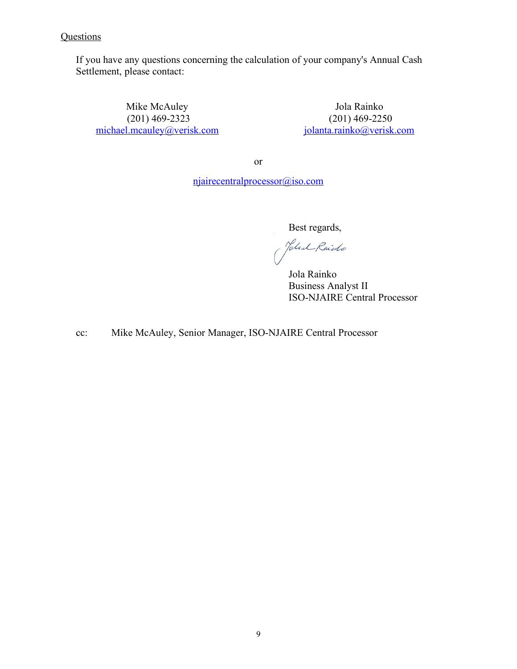# **Questions**

If you have any questions concerning the calculation of your company's Annual Cash Settlement, please contact:

Mike McAuley (201) 469-2323 [michael.mcauley@verisk.com](mailto:michael.mcauley@verisk.com)

Jola Rainko (201) 469-2250 [jolanta.rainko@verisk.com](mailto:jolanta.rainko@verisk.com)

or

[njairecentralprocessor@iso.com](mailto:njairecentralprocessor@iso.com)

Best regards,

Yokal Raido

 Jola Rainko Business Analyst II ISO-NJAIRE Central Processor

cc: Mike McAuley, Senior Manager, ISO-NJAIRE Central Processor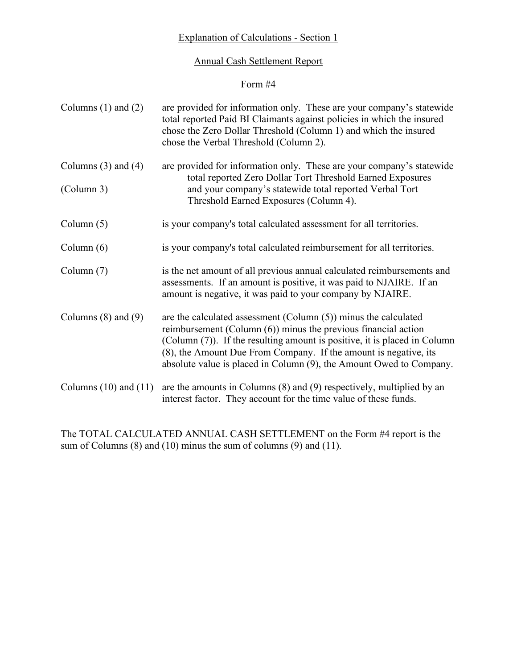# Explanation of Calculations - Section 1

## Annual Cash Settlement Report

## Form #4

| Columns $(1)$ and $(2)$   | are provided for information only. These are your company's statewide<br>total reported Paid BI Claimants against policies in which the insured<br>chose the Zero Dollar Threshold (Column 1) and which the insured<br>chose the Verbal Threshold (Column 2).                                                                                                   |  |
|---------------------------|-----------------------------------------------------------------------------------------------------------------------------------------------------------------------------------------------------------------------------------------------------------------------------------------------------------------------------------------------------------------|--|
| Columns $(3)$ and $(4)$   | are provided for information only. These are your company's statewide<br>total reported Zero Dollar Tort Threshold Earned Exposures<br>and your company's statewide total reported Verbal Tort<br>Threshold Earned Exposures (Column 4).                                                                                                                        |  |
| (Column 3)                |                                                                                                                                                                                                                                                                                                                                                                 |  |
| Column $(5)$              | is your company's total calculated assessment for all territories.                                                                                                                                                                                                                                                                                              |  |
| Column $(6)$              | is your company's total calculated reimbursement for all territories.                                                                                                                                                                                                                                                                                           |  |
| Column $(7)$              | is the net amount of all previous annual calculated reimbursements and<br>assessments. If an amount is positive, it was paid to NJAIRE. If an<br>amount is negative, it was paid to your company by NJAIRE.                                                                                                                                                     |  |
| Columns $(8)$ and $(9)$   | are the calculated assessment (Column $(5)$ ) minus the calculated<br>reimbursement (Column $(6)$ ) minus the previous financial action<br>(Column (7)). If the resulting amount is positive, it is placed in Column<br>(8), the Amount Due From Company. If the amount is negative, its<br>absolute value is placed in Column (9), the Amount Owed to Company. |  |
| Columns $(10)$ and $(11)$ | are the amounts in Columns $(8)$ and $(9)$ respectively, multiplied by an<br>interest factor. They account for the time value of these funds.                                                                                                                                                                                                                   |  |

The TOTAL CALCULATED ANNUAL CASH SETTLEMENT on the Form #4 report is the sum of Columns (8) and (10) minus the sum of columns (9) and (11).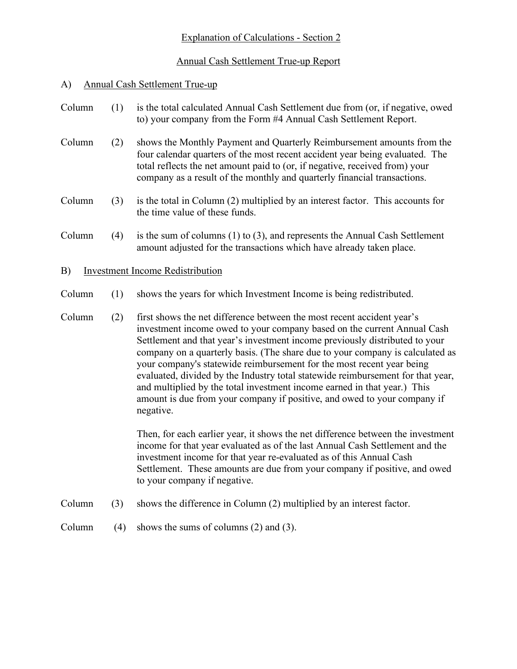# Explanation of Calculations - Section 2

# Annual Cash Settlement True-up Report

# A) Annual Cash Settlement True-up

| Column | (1) | is the total calculated Annual Cash Settlement due from (or, if negative, owed<br>to) your company from the Form #4 Annual Cash Settlement Report.                                                                                                                                                                                                                                                                                                                                                                                                                                                                                                 |
|--------|-----|----------------------------------------------------------------------------------------------------------------------------------------------------------------------------------------------------------------------------------------------------------------------------------------------------------------------------------------------------------------------------------------------------------------------------------------------------------------------------------------------------------------------------------------------------------------------------------------------------------------------------------------------------|
| Column | (2) | shows the Monthly Payment and Quarterly Reimbursement amounts from the<br>four calendar quarters of the most recent accident year being evaluated. The<br>total reflects the net amount paid to (or, if negative, received from) your<br>company as a result of the monthly and quarterly financial transactions.                                                                                                                                                                                                                                                                                                                                  |
| Column | (3) | is the total in Column (2) multiplied by an interest factor. This accounts for<br>the time value of these funds.                                                                                                                                                                                                                                                                                                                                                                                                                                                                                                                                   |
| Column | (4) | is the sum of columns $(1)$ to $(3)$ , and represents the Annual Cash Settlement<br>amount adjusted for the transactions which have already taken place.                                                                                                                                                                                                                                                                                                                                                                                                                                                                                           |
| B)     |     | <b>Investment Income Redistribution</b>                                                                                                                                                                                                                                                                                                                                                                                                                                                                                                                                                                                                            |
| Column | (1) | shows the years for which Investment Income is being redistributed.                                                                                                                                                                                                                                                                                                                                                                                                                                                                                                                                                                                |
| Column | (2) | first shows the net difference between the most recent accident year's<br>investment income owed to your company based on the current Annual Cash<br>Settlement and that year's investment income previously distributed to your<br>company on a quarterly basis. (The share due to your company is calculated as<br>your company's statewide reimbursement for the most recent year being<br>evaluated, divided by the Industry total statewide reimbursement for that year,<br>and multiplied by the total investment income earned in that year.) This<br>amount is due from your company if positive, and owed to your company if<br>negative. |
|        |     | Then, for each earlier year, it shows the net difference between the investment<br>income for that year evaluated as of the last Annual Cash Settlement and the<br>investment income for that year re-evaluated as of this Annual Cash<br>Settlement. These amounts are due from your company if positive, and owed<br>to your company if negative.                                                                                                                                                                                                                                                                                                |
| Column | (3) | shows the difference in Column (2) multiplied by an interest factor.                                                                                                                                                                                                                                                                                                                                                                                                                                                                                                                                                                               |

Column (4) shows the sums of columns (2) and (3).